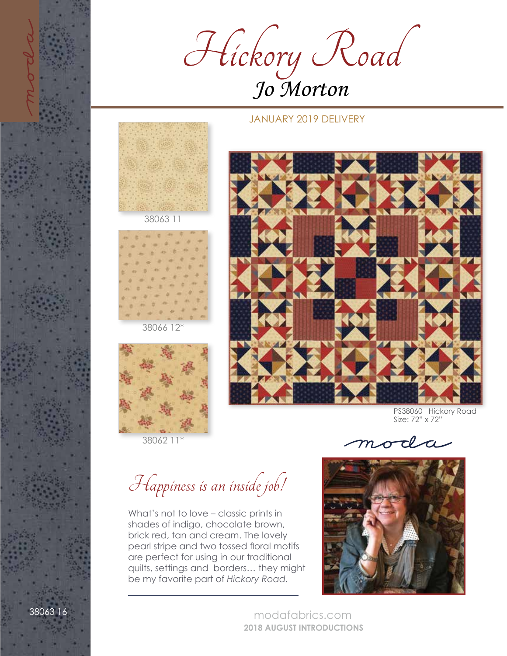

## JANUARY 2019 DELIVERY





38062 11\*



PS38060 Hickory Road Size: 72" x 72"

moda

Happiness is an inside job!

What's not to love – classic prints in shades of indigo, chocolate brown, brick red, tan and cream. The lovely pearl stripe and two tossed floral motifs are perfect for using in our traditional quilts, settings and borders… they might be my favorite part of *Hickory Road.*

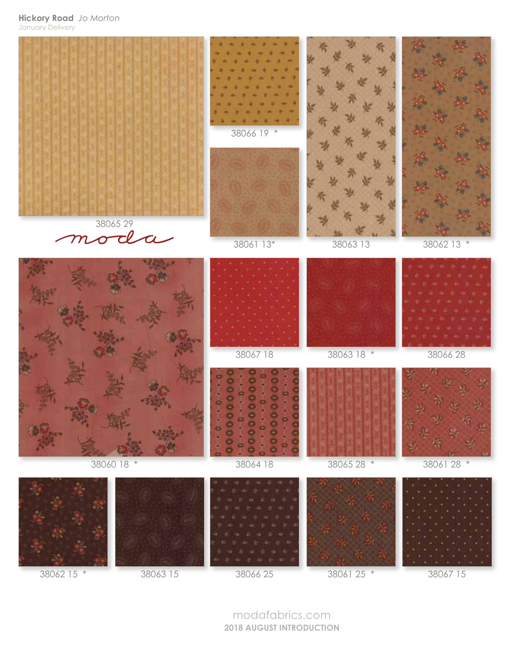**Hickory Road** *Jo Morton* January Delivery



modafabrics.com **2018 AUGUST INTRODUCTION**